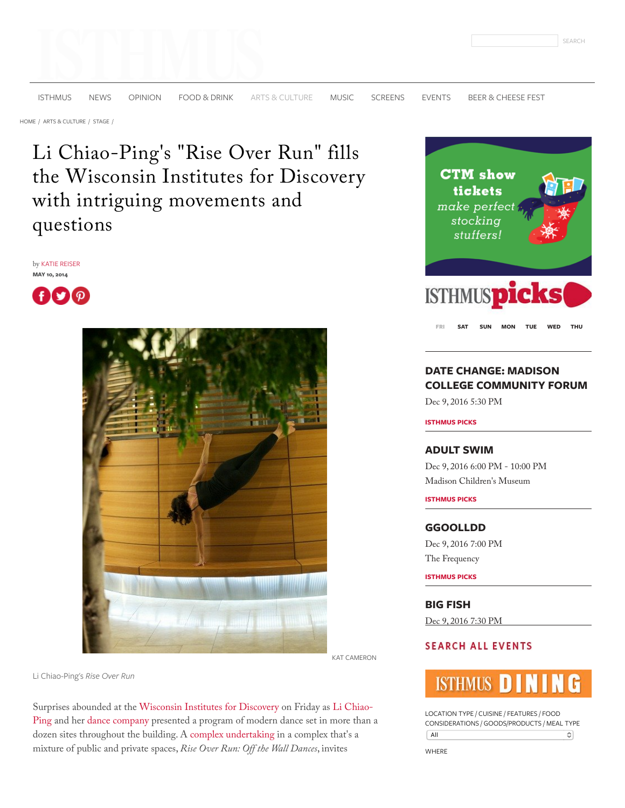[ISTHMUS](http://isthmus.com/) [NEWS](http://isthmus.com/news) [OPINION](http://isthmus.com/opinion) [FOOD & DRINK](http://isthmus.com/food-drink) [ARTS & CULTURE](http://isthmus.com/arts) [MUSIC](http://isthmus.com/music) [SCREENS](http://isthmus.com/screens) [EVENTS](http://isthmus.com/all-events/calendar-of-events-index) [BEER & CHEESE FEST](http://bit.ly/2gcfLDi)

[HOME /](http://isthmus.com/) [ARTS & CULTURE /](http://isthmus.com/arts) [STAGE /](http://isthmus.com/arts/stage)

Li Chiao-Ping's "Rise Over Run" fills the Wisconsin Institutes for Discovery with intriguing movements and questions

by [KATIE REISER](http://isthmus.com/topics/katie-reiser/) **MAY 10, 2014**

О f



KAT CAMERON

Li Chiao-Ping's *Rise Over Run*

Surprises abounded at the [Wisconsin Institutes for Discovery](http://www.isthmus.com/theguide/venue.php?venue=3423) on Friday as Li Chiao-[Ping and her dance company presented a program of modern dance set in more than](http://dance.wisc.edu/dance/people/faculty/li-chiao-ping) a dozen sites throughout the building. A [complex undertaking](http://wid.wisc.edu/featured-events/rise-over-run-off-the-wall-dances/) in a complex that's a mixture of public and private spaces, *Rise Over Run: Off the Wall Dances*, invites



**[FRI](javascript:void(null);) [SAT](javascript:void(null);) [SUN](javascript:void(null);) [MON](javascript:void(null);) [TUE](javascript:void(null);) [WED](javascript:void(null);) [THU](javascript:void(null);)**

# **DATE CHANGE: MADISON [COLLEGE COMMUNITY FORUM](http://isthmus.com/events/madison-college-community-forum-south/)**

Dec 9, 2016 5:30 PM

**ISTHMUS PICKS**

#### **[ADULT SWIM](http://isthmus.com/events/adult-swim-craft-on-tap/)**

Dec 9, 2016 6:00 PM - 10:00 PM [Madison Children](http://isthmus.com/locations/madison-childrens-museum/)'s Museum

**ISTHMUS PICKS**

#### **[GGOOLLDD](http://isthmus.com/events/ggoolldd-tigernite/)**

Dec 9, 2016 7:00 PM [The Frequency](http://isthmus.com/locations/frequency/)

**ISTHMUS PICKS**

**[BIG FISH](http://isthmus.com/events/big-fish-four-seasons/)**

Dec 9, 2016 7:30 PM

## **SEARCH ALL EVENTS**



LOCATION TYPE / CUISINE / FEATURES / FOOD CONSIDERATIONS / GOODS/PRODUCTS / MEAL TYPE All  $\boldsymbol{\hat{\cdot}}$ 

WHERE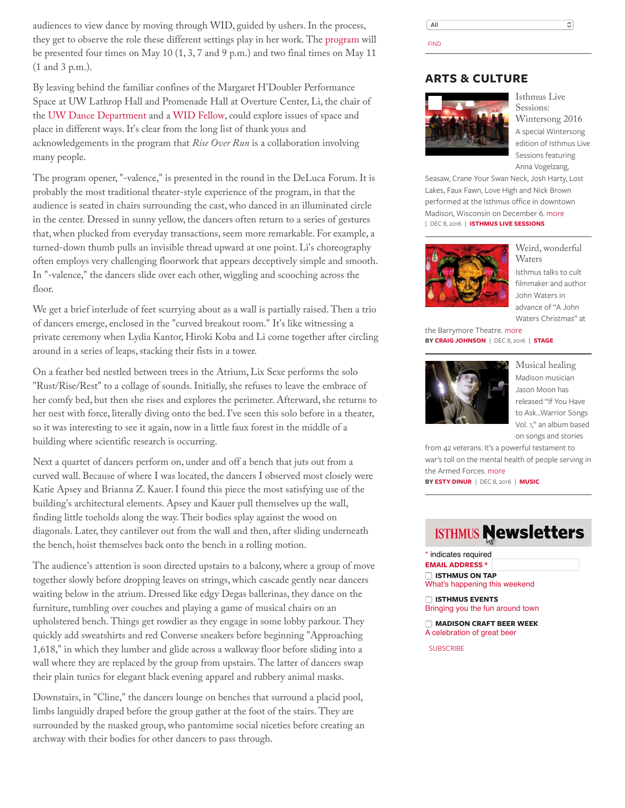audiences to view dance by moving through WID, guided by ushers. In the process, they get to observe the role these different settings play in her work. The [program](http://wid.wisc.edu/featured-events/rise-over-run-off-the-wall-dances/) will be presented four times on May 10 (1, 3, 7 and 9 p.m.) and two final times on May 11 (1 and 3 p.m.).

By leaving behind the familiar confines of the Margaret H'Doubler Performance Space at UW Lathrop Hall and Promenade Hall at Overture Center, Li, the chair of the [UW Dance Department](http://dance.wisc.edu/) and a [WID Fellow,](http://wid.wisc.edu/profile/li-chiao-ping/) could explore issues of space and place in different ways. It's clear from the long list of thank yous and acknowledgements in the program that *Rise Over Run* is a collaboration involving many people.

The program opener, "-valence," is presented in the round in the DeLuca Forum. It is probably the most traditional theater-style experience of the program, in that the audience is seated in chairs surrounding the cast, who danced in an illuminated circle in the center. Dressed in sunny yellow, the dancers often return to a series of gestures that, when plucked from everyday transactions, seem more remarkable. For example, a turned-down thumb pulls an invisible thread upward at one point. Li's choreography often employs very challenging floorwork that appears deceptively simple and smooth. In "-valence," the dancers slide over each other, wiggling and scooching across the floor.

We get a brief interlude of feet scurrying about as a wall is partially raised. Then a trio of dancers emerge, enclosed in the "curved breakout room." It's like witnessing a private ceremony when Lydia Kantor, Hiroki Koba and Li come together after circling around in a series of leaps, stacking their fists in a tower.

On a feather bed nestled between trees in the Atrium, Lix Sexe performs the solo "Rust/Rise/Rest" to a collage of sounds. Initially, she refuses to leave the embrace of her comfy bed, but then she rises and explores the perimeter. Afterward, she returns to her nest with force, literally diving onto the bed. I've seen this solo before in a theater, so it was interesting to see it again, now in a little faux forest in the middle of a building where scientific research is occurring.

Next a quartet of dancers perform on, under and off a bench that juts out from a curved wall. Because of where I was located, the dancers I observed most closely were Katie Apsey and Brianna Z. Kauer. I found this piece the most satisfying use of the building's architectural elements. Apsey and Kauer pull themselves up the wall, finding little toeholds along the way. Their bodies splay against the wood on diagonals. Later, they cantilever out from the wall and then, after sliding underneath the bench, hoist themselves back onto the bench in a rolling motion.

The audience's attention is soon directed upstairs to a balcony, where a group of move together slowly before dropping leaves on strings, which cascade gently near dancers waiting below in the atrium. Dressed like edgy Degas ballerinas, they dance on the furniture, tumbling over couches and playing a game of musical chairs on an upholstered bench. Things get rowdier as they engage in some lobby parkour. They quickly add sweatshirts and red Converse sneakers before beginning "Approaching 1,618," in which they lumber and glide across a walkway floor before sliding into a wall where they are replaced by the group from upstairs. The latter of dancers swap their plain tunics for elegant black evening apparel and rubbery animal masks.

Downstairs, in "Cline," the dancers lounge on benches that surround a placid pool, limbs languidly draped before the group gather at the foot of the stairs. They are surrounded by the masked group, who pantomime social niceties before creating an archway with their bodies for other dancers to pass through.

All  $\hat{\cdot}$ FIND

### **ARTS & CULTURE**



Isthmus Live Sessions: [Wintersong 2016](http://isthmus.com/music/isthmus-live-sessions/wintersong-2016/) A special Wintersong edition of Isthmus Live Sessions featuring Anna Vogelzang,

Seasaw, Crane Your Swan Neck, Josh Harty, Lost Lakes, Faux Fawn, Love High and Nick Brown performed at the Isthmus office in downtown Madison, Wisconsin on December 6. [more](http://isthmus.com/music/isthmus-live-sessions/wintersong-2016/) | DEC 8, 2016 | **[ISTHMUS LIVE SESSIONS](http://isthmus.com/music/isthmus-live-sessions)**



[Weird, wonderful](http://isthmus.com/arts/stage/john-waters-christmas-barrymore/) Waters Isthmus talks to cult filmmaker and author John Waters in advance of "A John Waters Christmas" at

the Barrymore Theatre. [more](http://isthmus.com/arts/stage/john-waters-christmas-barrymore/) **BY [CRAIG JOHNSON](http://isthmus.com/topics/craig-johnson/)** | DEC 8, 2016 | **[STAGE](http://isthmus.com/arts/stage)**



[Musical healing](http://isthmus.com/music/jason-moon-warrior-songs-veterans/) Madison musician Jason Moon has released "If You Have to Ask...Warrior Songs Vol. 1," an album based on songs and stories

from 42 veterans. It's a powerful testament to war's toll on the mental health of people serving in the Armed Forces. [more](http://isthmus.com/music/jason-moon-warrior-songs-veterans/)

**BY [ESTY DINUR](http://isthmus.com/topics/esty-dinur/)** | DEC 8, 2016 | **[MUSIC](http://isthmus.com/music)**

# **ISTHMUS Newsletters**

\* indicates required

**EMAIL ADDRESS \* ISTHMUS ON TAP** What's happening this weekend

 **ISTHMUS EVENTS** Bringing you the fun around town

 **MADISON CRAFT BEER WEEK** A celebration of great beer

**SUBSCRIBE**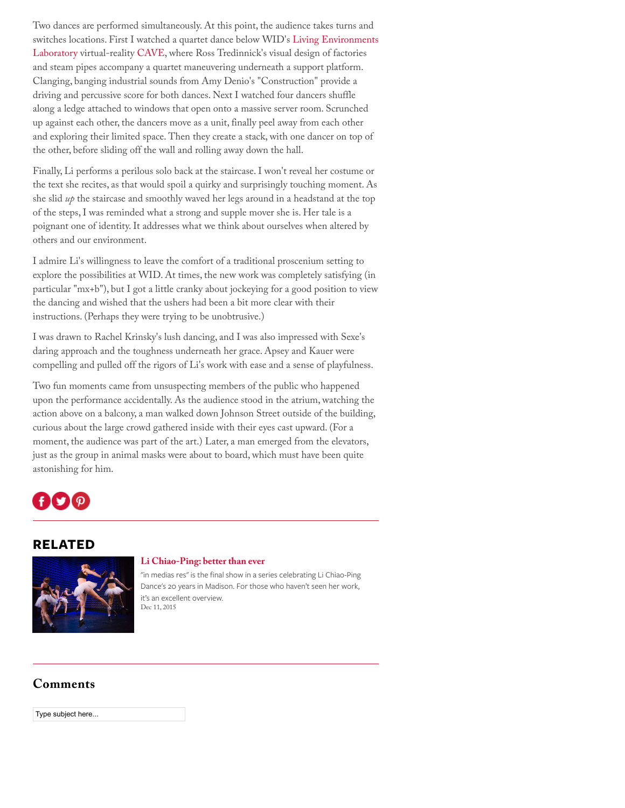Two dances are performed simultaneously. At this point, the audience takes turns and [switches locations. First I watched a quartet dance below WID](http://wid.wisc.edu/research/lel/)'s Living Environments Laboratory virtual-reality [CAVE](http://en.wikipedia.org/wiki/Cave_automatic_virtual_environment), where Ross Tredinnick's visual design of factories and steam pipes accompany a quartet maneuvering underneath a support platform. Clanging, banging industrial sounds from Amy Denio's "Construction" provide a driving and percussive score for both dances. Next I watched four dancers shuffle along a ledge attached to windows that open onto a massive server room. Scrunched up against each other, the dancers move as a unit, finally peel away from each other and exploring their limited space. Then they create a stack, with one dancer on top of the other, before sliding off the wall and rolling away down the hall.

Finally, Li performs a perilous solo back at the staircase. I won't reveal her costume or the text she recites, as that would spoil a quirky and surprisingly touching moment. As she slid *up* the staircase and smoothly waved her legs around in a headstand at the top of the steps, I was reminded what a strong and supple mover she is. Her tale is a poignant one of identity. It addresses what we think about ourselves when altered by others and our environment.

I admire Li's willingness to leave the comfort of a traditional proscenium setting to explore the possibilities at WID. At times, the new work was completely satisfying (in particular "mx+b"), but I got a little cranky about jockeying for a good position to view the dancing and wished that the ushers had been a bit more clear with their instructions. (Perhaps they were trying to be unobtrusive.)

I was drawn to Rachel Krinsky's lush dancing, and I was also impressed with Sexe's daring approach and the toughness underneath her grace. Apsey and Kauer were compelling and pulled off the rigors of Li's work with ease and a sense of playfulness.

Two fun moments came from unsuspecting members of the public who happened upon the performance accidentally. As the audience stood in the atrium, watching the action above on a balcony, a man walked down Johnson Street outside of the building, curious about the large crowd gathered inside with their eyes cast upward. (For a moment, the audience was part of the art.) Later, a man emerged from the elevators, just as the group in animal masks were about to board, which must have been quite astonishing for him.

# I Y I

# **RELATED**



### **[Li Chiao-Ping: better than ever](http://isthmus.com/arts/stage/li-chiao-ping-en-medias-res/)**

"in medias res" is the final show in a series celebrating Li Chiao-Ping Dance's 20 years in Madison. For those who haven't seen her work, it's an excellent overview. Dec 11, 2015

# **Comments**

Type subject here...